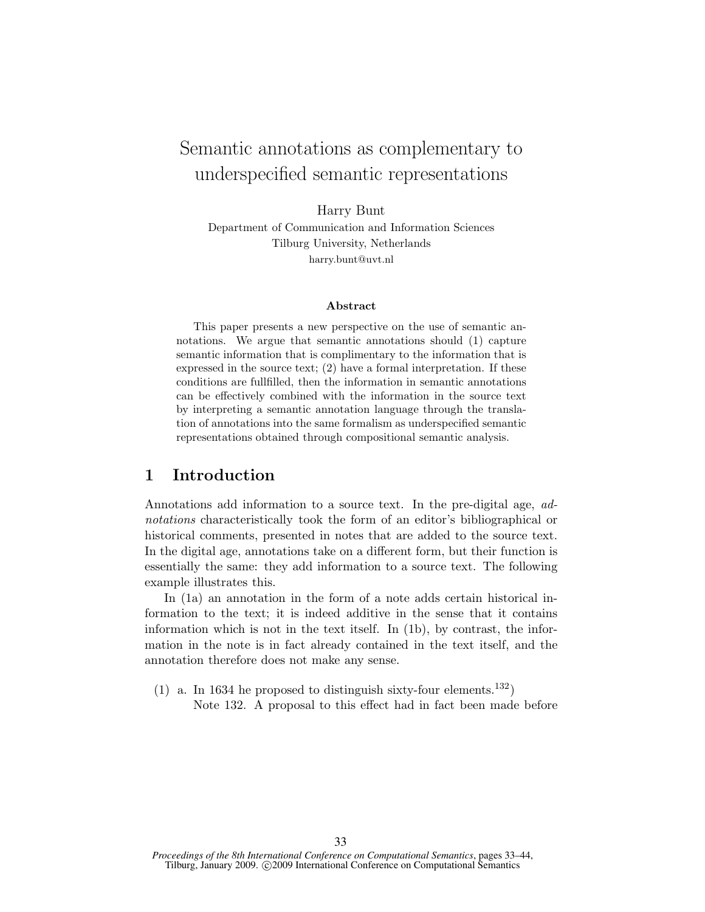# Semantic annotations as complementary to underspecified semantic representations

Harry Bunt

Department of Communication and Information Sciences Tilburg University, Netherlands harry.bunt@uvt.nl

#### Abstract

This paper presents a new perspective on the use of semantic annotations. We argue that semantic annotations should (1) capture semantic information that is complimentary to the information that is expressed in the source text; (2) have a formal interpretation. If these conditions are fullfilled, then the information in semantic annotations can be effectively combined with the information in the source text by interpreting a semantic annotation language through the translation of annotations into the same formalism as underspecified semantic representations obtained through compositional semantic analysis.

# 1 Introduction

Annotations add information to a source text. In the pre-digital age, adnotations characteristically took the form of an editor's bibliographical or historical comments, presented in notes that are added to the source text. In the digital age, annotations take on a different form, but their function is essentially the same: they add information to a source text. The following example illustrates this.

In (1a) an annotation in the form of a note adds certain historical information to the text; it is indeed additive in the sense that it contains information which is not in the text itself. In (1b), by contrast, the information in the note is in fact already contained in the text itself, and the annotation therefore does not make any sense.

(1) a. In 1634 he proposed to distinguish sixty-four elements.<sup>132</sup>) Note 132. A proposal to this effect had in fact been made before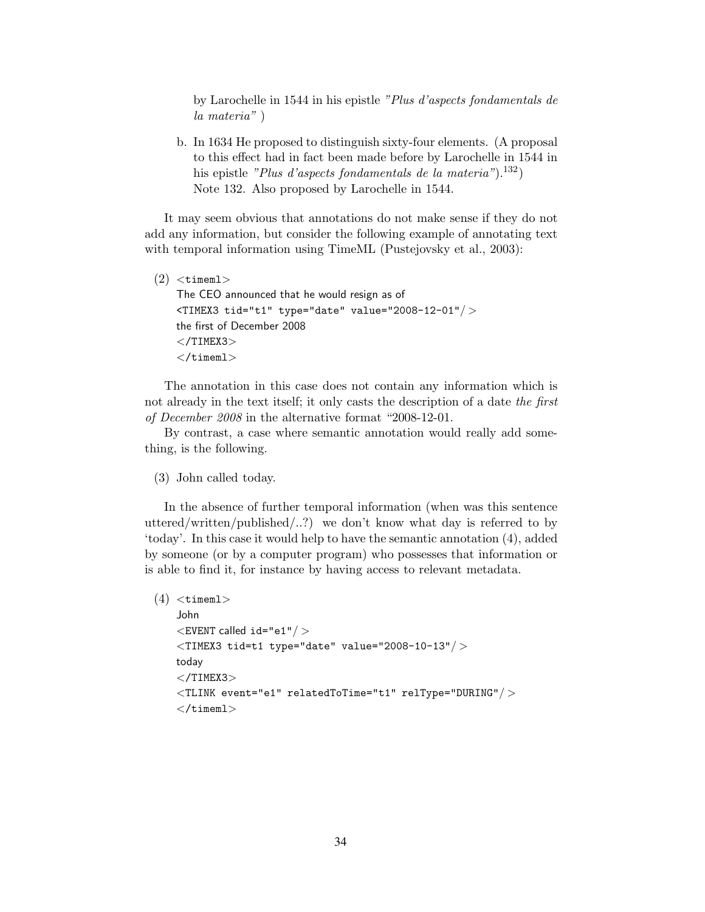by Larochelle in 1544 in his epistle "Plus d'aspects fondamentals de la materia" )

b. In 1634 He proposed to distinguish sixty-four elements. (A proposal to this effect had in fact been made before by Larochelle in 1544 in his epistle "Plus d'aspects fondamentals de la materia").<sup>132</sup>) Note 132. Also proposed by Larochelle in 1544.

It may seem obvious that annotations do not make sense if they do not add any information, but consider the following example of annotating text with temporal information using TimeML (Pustejovsky et al., 2003):

```
(2) <timeml>
The CEO announced that he would resign as of
<TIMEX3 tid="t1" type="date" value="2008-12-01"/ >
the first of December 2008
</TIMEX3>\langletimeml>
```
The annotation in this case does not contain any information which is not already in the text itself; it only casts the description of a date the first of December 2008 in the alternative format "2008-12-01.

By contrast, a case where semantic annotation would really add something, is the following.

(3) John called today.

In the absence of further temporal information (when was this sentence uttered/written/published...?) we don't know what day is referred to by 'today'. In this case it would help to have the semantic annotation (4), added by someone (or by a computer program) who possesses that information or is able to find it, for instance by having access to relevant metadata.

```
(4) <timeml>
John
\leqEVENT called id="e1"/ >\langleTIMEX3 tid=t1 type="date" value="2008-10-13"/>today
</TIMEX3>\langleTLINK event="e1" relatedToTime="t1" relType="DURING"/ >
\langletimeml>
```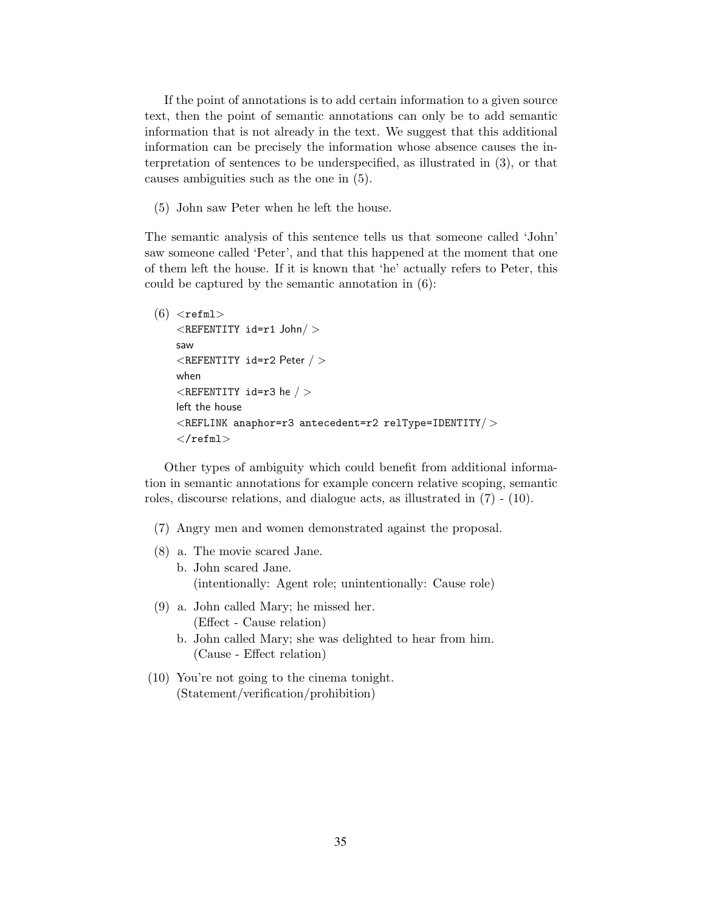If the point of annotations is to add certain information to a given source text, then the point of semantic annotations can only be to add semantic information that is not already in the text. We suggest that this additional information can be precisely the information whose absence causes the interpretation of sentences to be underspecified, as illustrated in (3), or that causes ambiguities such as the one in (5).

(5) John saw Peter when he left the house.

The semantic analysis of this sentence tells us that someone called 'John' saw someone called 'Peter', and that this happened at the moment that one of them left the house. If it is known that 'he' actually refers to Peter, this could be captured by the semantic annotation in (6):

```
(6) \leqrefml><REFENTITY id=r1 John/ >
saw
\langleREFENTITY id=r2 Peter / >when
\leqREFENTITY id=r3 he / >
left the house
\langleREFLINK anaphor=r3 antecedent=r2 relType=IDENTITY/>\langle/refml>
```
Other types of ambiguity which could benefit from additional information in semantic annotations for example concern relative scoping, semantic roles, discourse relations, and dialogue acts, as illustrated in (7) - (10).

- (7) Angry men and women demonstrated against the proposal.
- (8) a. The movie scared Jane. b. John scared Jane. (intentionally: Agent role; unintentionally: Cause role)
- (9) a. John called Mary; he missed her. (Effect - Cause relation)
	- b. John called Mary; she was delighted to hear from him. (Cause - Effect relation)
- (10) You're not going to the cinema tonight. (Statement/verification/prohibition)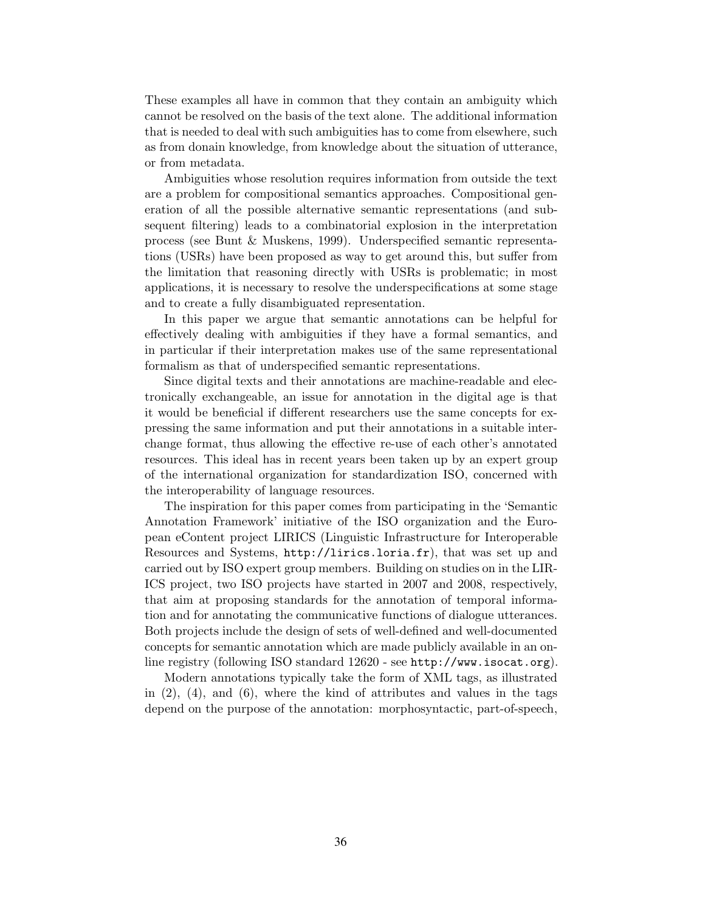These examples all have in common that they contain an ambiguity which cannot be resolved on the basis of the text alone. The additional information that is needed to deal with such ambiguities has to come from elsewhere, such as from donain knowledge, from knowledge about the situation of utterance, or from metadata.

Ambiguities whose resolution requires information from outside the text are a problem for compositional semantics approaches. Compositional generation of all the possible alternative semantic representations (and subsequent filtering) leads to a combinatorial explosion in the interpretation process (see Bunt & Muskens, 1999). Underspecified semantic representations (USRs) have been proposed as way to get around this, but suffer from the limitation that reasoning directly with USRs is problematic; in most applications, it is necessary to resolve the underspecifications at some stage and to create a fully disambiguated representation.

In this paper we argue that semantic annotations can be helpful for effectively dealing with ambiguities if they have a formal semantics, and in particular if their interpretation makes use of the same representational formalism as that of underspecified semantic representations.

Since digital texts and their annotations are machine-readable and electronically exchangeable, an issue for annotation in the digital age is that it would be beneficial if different researchers use the same concepts for expressing the same information and put their annotations in a suitable interchange format, thus allowing the effective re-use of each other's annotated resources. This ideal has in recent years been taken up by an expert group of the international organization for standardization ISO, concerned with the interoperability of language resources.

The inspiration for this paper comes from participating in the 'Semantic Annotation Framework' initiative of the ISO organization and the European eContent project LIRICS (Linguistic Infrastructure for Interoperable Resources and Systems, http://lirics.loria.fr), that was set up and carried out by ISO expert group members. Building on studies on in the LIR-ICS project, two ISO projects have started in 2007 and 2008, respectively, that aim at proposing standards for the annotation of temporal information and for annotating the communicative functions of dialogue utterances. Both projects include the design of sets of well-defined and well-documented concepts for semantic annotation which are made publicly available in an online registry (following ISO standard 12620 - see http://www.isocat.org).

Modern annotations typically take the form of XML tags, as illustrated in  $(2)$ ,  $(4)$ , and  $(6)$ , where the kind of attributes and values in the tags depend on the purpose of the annotation: morphosyntactic, part-of-speech,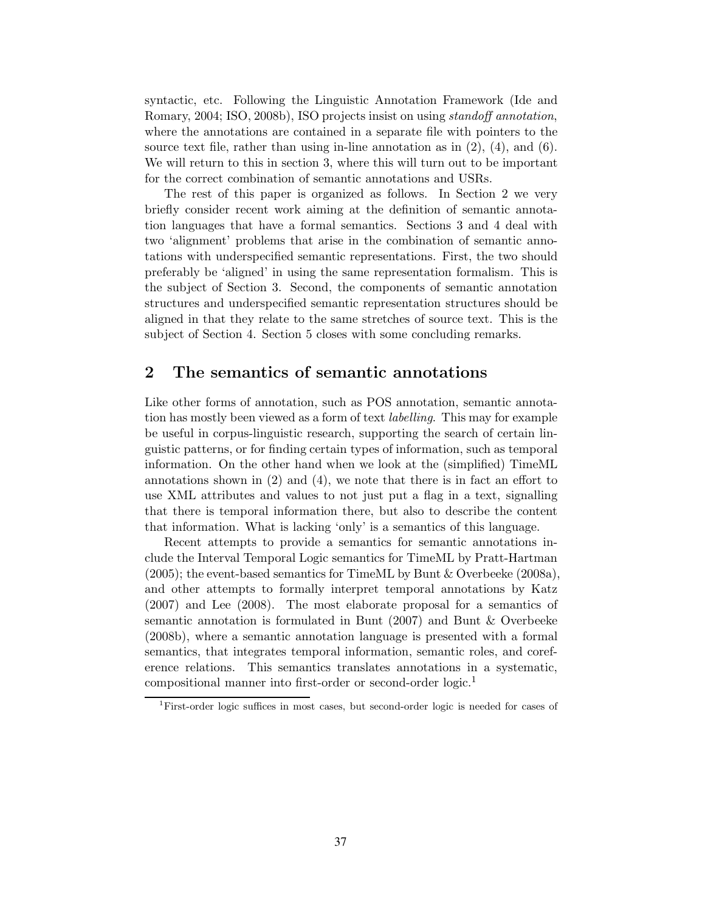syntactic, etc. Following the Linguistic Annotation Framework (Ide and Romary, 2004; ISO, 2008b), ISO projects insist on using standoff annotation, where the annotations are contained in a separate file with pointers to the source text file, rather than using in-line annotation as in  $(2)$ ,  $(4)$ , and  $(6)$ . We will return to this in section 3, where this will turn out to be important for the correct combination of semantic annotations and USRs.

The rest of this paper is organized as follows. In Section 2 we very briefly consider recent work aiming at the definition of semantic annotation languages that have a formal semantics. Sections 3 and 4 deal with two 'alignment' problems that arise in the combination of semantic annotations with underspecified semantic representations. First, the two should preferably be 'aligned' in using the same representation formalism. This is the subject of Section 3. Second, the components of semantic annotation structures and underspecified semantic representation structures should be aligned in that they relate to the same stretches of source text. This is the subject of Section 4. Section 5 closes with some concluding remarks.

## 2 The semantics of semantic annotations

Like other forms of annotation, such as POS annotation, semantic annotation has mostly been viewed as a form of text labelling. This may for example be useful in corpus-linguistic research, supporting the search of certain linguistic patterns, or for finding certain types of information, such as temporal information. On the other hand when we look at the (simplified) TimeML annotations shown in (2) and (4), we note that there is in fact an effort to use XML attributes and values to not just put a flag in a text, signalling that there is temporal information there, but also to describe the content that information. What is lacking 'only' is a semantics of this language.

Recent attempts to provide a semantics for semantic annotations include the Interval Temporal Logic semantics for TimeML by Pratt-Hartman  $(2005)$ ; the event-based semantics for TimeML by Bunt & Overbeeke  $(2008a)$ , and other attempts to formally interpret temporal annotations by Katz (2007) and Lee (2008). The most elaborate proposal for a semantics of semantic annotation is formulated in Bunt (2007) and Bunt & Overbeeke (2008b), where a semantic annotation language is presented with a formal semantics, that integrates temporal information, semantic roles, and coreference relations. This semantics translates annotations in a systematic, compositional manner into first-order or second-order logic.<sup>1</sup>

<sup>&</sup>lt;sup>1</sup>First-order logic suffices in most cases, but second-order logic is needed for cases of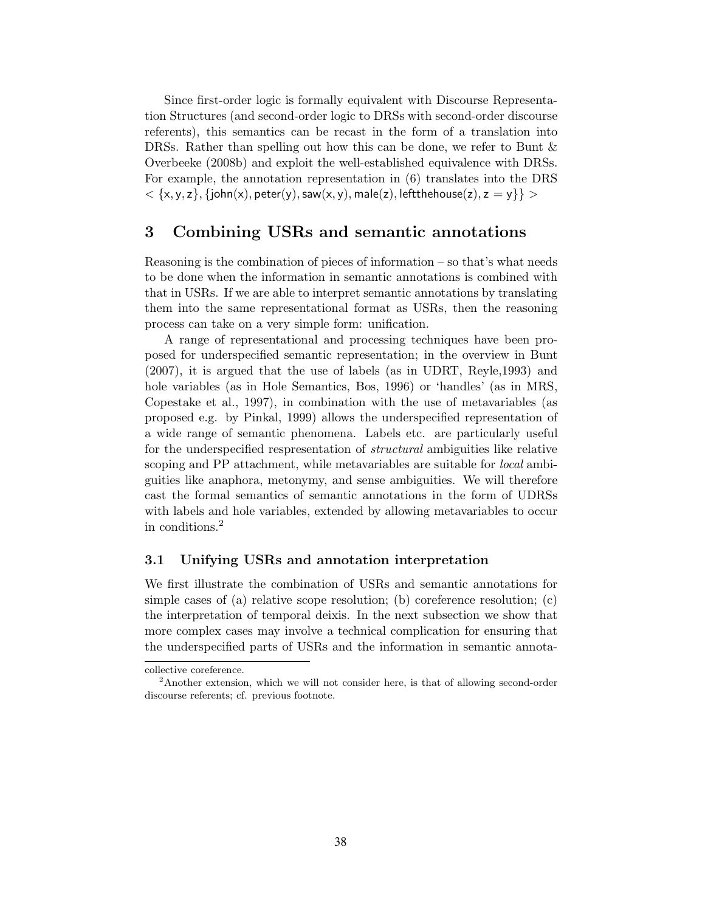Since first-order logic is formally equivalent with Discourse Representation Structures (and second-order logic to DRSs with second-order discourse referents), this semantics can be recast in the form of a translation into DRSs. Rather than spelling out how this can be done, we refer to Bunt & Overbeeke (2008b) and exploit the well-established equivalence with DRSs. For example, the annotation representation in (6) translates into the DRS  $<$   $\{x, y, z\},$  {john $(x)$ , peter $(y)$ , saw $(x, y)$ , male $(z)$ , leftthehouse $(z)$ , z  $=$  y}}  $>$ 

### 3 Combining USRs and semantic annotations

Reasoning is the combination of pieces of information – so that's what needs to be done when the information in semantic annotations is combined with that in USRs. If we are able to interpret semantic annotations by translating them into the same representational format as USRs, then the reasoning process can take on a very simple form: unification.

A range of representational and processing techniques have been proposed for underspecified semantic representation; in the overview in Bunt (2007), it is argued that the use of labels (as in UDRT, Reyle,1993) and hole variables (as in Hole Semantics, Bos, 1996) or 'handles' (as in MRS, Copestake et al., 1997), in combination with the use of metavariables (as proposed e.g. by Pinkal, 1999) allows the underspecified representation of a wide range of semantic phenomena. Labels etc. are particularly useful for the underspecified respresentation of *structural* ambiguities like relative scoping and PP attachment, while metavariables are suitable for *local* ambiguities like anaphora, metonymy, and sense ambiguities. We will therefore cast the formal semantics of semantic annotations in the form of UDRSs with labels and hole variables, extended by allowing metavariables to occur in conditions.<sup>2</sup>

#### 3.1 Unifying USRs and annotation interpretation

We first illustrate the combination of USRs and semantic annotations for simple cases of (a) relative scope resolution; (b) coreference resolution; (c) the interpretation of temporal deixis. In the next subsection we show that more complex cases may involve a technical complication for ensuring that the underspecified parts of USRs and the information in semantic annota-

collective coreference.

<sup>2</sup>Another extension, which we will not consider here, is that of allowing second-order discourse referents; cf. previous footnote.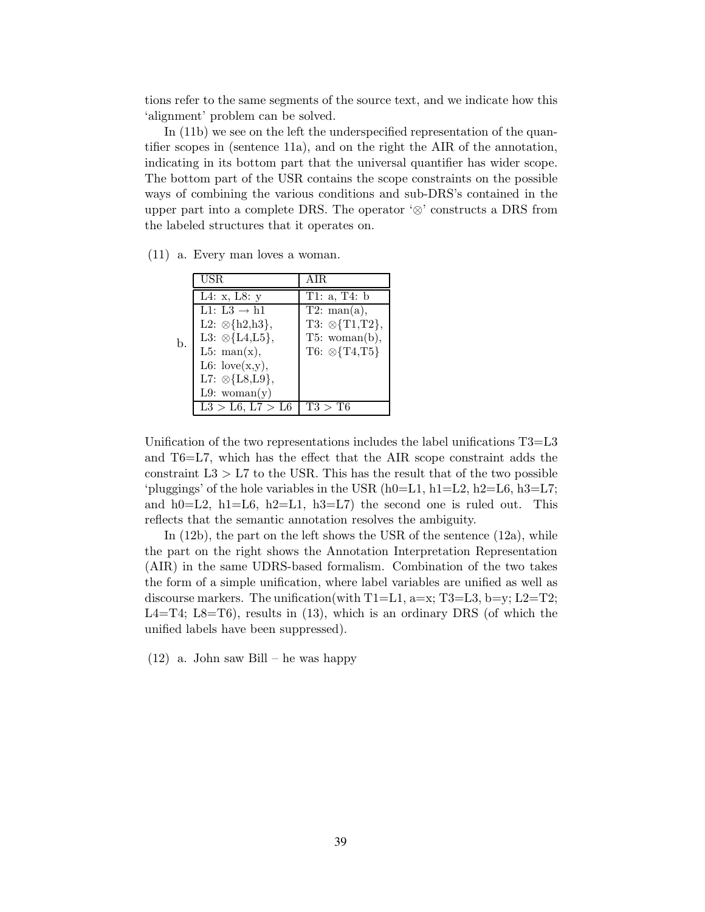tions refer to the same segments of the source text, and we indicate how this 'alignment' problem can be solved.

In (11b) we see on the left the underspecified representation of the quantifier scopes in (sentence 11a), and on the right the AIR of the annotation, indicating in its bottom part that the universal quantifier has wider scope. The bottom part of the USR contains the scope constraints on the possible ways of combining the various conditions and sub-DRS's contained in the upper part into a complete DRS. The operator ' $\otimes$ ' constructs a DRS from the labeled structures that it operates on.

|    | <b>USR</b>                                | <b>AIR</b>                |
|----|-------------------------------------------|---------------------------|
|    | $\overline{L4}$ : x, L8: y                | T1: a, T4: $b$            |
|    | $\overline{\text{L1: L3}} \rightarrow h1$ | $\overline{T2: man(a)},$  |
|    | L2: $\otimes$ {h2,h3},                    | $T3: \otimes \{T1,T2\},\$ |
| b. | L3: $\otimes$ {L4,L5},                    | T5: woman(b),             |
|    | L5: man $(x)$ ,                           | T6: $\otimes$ {T4,T5}     |
|    | L6: $love(x,y),$                          |                           |
|    | L7: $\otimes$ {L8,L9},                    |                           |
|    | L9: woman $(y)$                           |                           |
|    | L3 > L6, L7 > L6                          | T3 > T6                   |

(11) a. Every man loves a woman.

Unification of the two representations includes the label unifications  $T3=Li$ and T6=L7, which has the effect that the AIR scope constraint adds the constraint  $L3 > L7$  to the USR. This has the result that of the two possible 'pluggings' of the hole variables in the USR  $(h0=L1, h1=L2, h2=L6, h3=L7;$ and h0=L2, h1=L6, h2=L1, h3=L7) the second one is ruled out. This reflects that the semantic annotation resolves the ambiguity.

In (12b), the part on the left shows the USR of the sentence (12a), while the part on the right shows the Annotation Interpretation Representation (AIR) in the same UDRS-based formalism. Combination of the two takes the form of a simple unification, where label variables are unified as well as discourse markers. The unification(with  $T1=L1$ , a=x; T3=L3, b=y; L2=T2; L4=T4; L8=T6), results in  $(13)$ , which is an ordinary DRS (of which the unified labels have been suppressed).

(12) a. John saw Bill – he was happy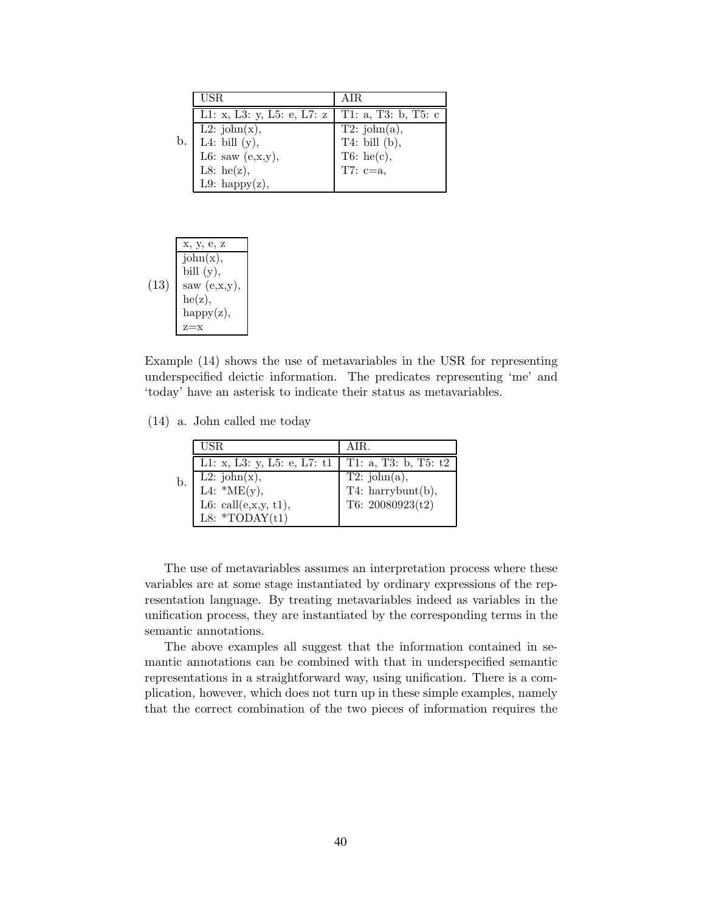|    | USR.                       | AIR.                   |
|----|----------------------------|------------------------|
|    | L1: x, L3: y, L5: e, L7: z | T1: a, T3: b, T5: c    |
|    | L2: $\text{john}(x)$ ,     | T2: john(a),           |
| b. | L4: bill $(y)$ ,           | T4: bill $(b)$ ,       |
|    | L6: saw $(e, x, y)$ ,      | T6: he(c),<br>T7: c=a, |
|    | L8: he(z),                 |                        |
|    | L9: happy $(z)$ ,          |                        |

$$
(13)
$$
\n
$$
(13)
$$
\n
$$
x, y, e, z
$$
\n
$$
john(x),
$$
\n
$$
bil (y),
$$
\n
$$
saw (e,x,y),
$$
\n
$$
he(z),
$$
\n
$$
happy(z),
$$
\n
$$
z=x
$$

Example (14) shows the use of metavariables in the USR for representing underspecified deictic information. The predicates representing 'me' and 'today' have an asterisk to indicate their status as metavariables.

(14) a. John called me today

|    | USR.                                             | AIR.                       |
|----|--------------------------------------------------|----------------------------|
|    | L1: x, L3: y, L5: e, L7: t1                      | T1: a, T3: b, T5: t2       |
| b. | L2: $\text{john}(x)$ ,<br>L4: $^*\text{ME}(y)$ , | $\overline{T2}$ : john(a), |
|    |                                                  | T4: harrybunt(b),          |
|    | L6: call $(e, x, y, t1)$ ,                       | T6: $20080923(t2)$         |
|    | L8: *TODAY $(t1)$                                |                            |

The use of metavariables assumes an interpretation process where these variables are at some stage instantiated by ordinary expressions of the representation language. By treating metavariables indeed as variables in the unification process, they are instantiated by the corresponding terms in the semantic annotations.

The above examples all suggest that the information contained in semantic annotations can be combined with that in underspecified semantic representations in a straightforward way, using unification. There is a complication, however, which does not turn up in these simple examples, namely that the correct combination of the two pieces of information requires the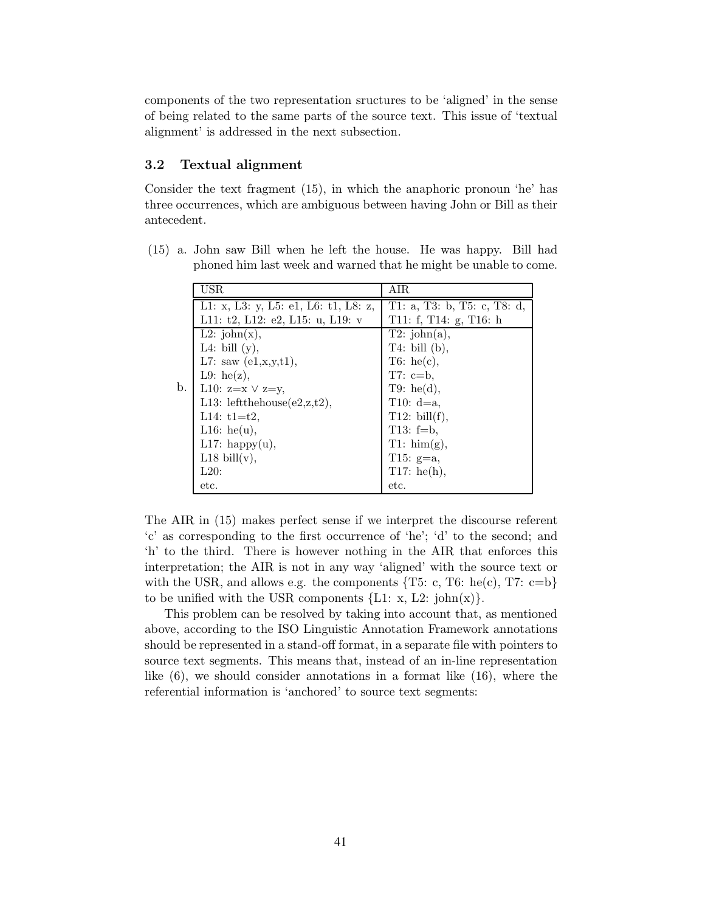components of the two representation sructures to be 'aligned' in the sense of being related to the same parts of the source text. This issue of 'textual alignment' is addressed in the next subsection.

#### 3.2 Textual alignment

Consider the text fragment (15), in which the anaphoric pronoun 'he' has three occurrences, which are ambiguous between having John or Bill as their antecedent.

|    | USR                                    | AIR                         |
|----|----------------------------------------|-----------------------------|
|    | L1: x, L3: y, L5: e1, L6: t1, L8: z,   | T1: a, T3: b, T5: c, T8: d, |
|    | L11: $t2$ , L12: $e2$ , L15: u, L19: v | T11: f, T14: g, T16: h      |
|    | L2: $\text{john}(x)$ ,                 | T2: john(a),                |
|    | L4: bill $(y)$ ,                       | $T4:$ bill (b),             |
|    | L7: saw $(e1, x, y, t1)$ ,             | $T6:$ he(c),                |
|    | L9: he(z),                             | T7: $c=b$ .                 |
| b. | L10: $z=x \lor z=y$ ,                  | T9: he(d),                  |
|    | L13: leftthehouse $(e2, z, t2)$ ,      | T10: $d=a$ ,                |
|    | L14: $t1=t2$ .                         | T12: bill $(f)$ ,           |
|    | L16: he(u),                            | T13: $f=b$ ,                |
|    | L17: happy $(u)$ ,                     | $T1: \, \text{him}(g),$     |
|    | L18 bill $(v)$ ,                       | T15: $g=a$ ,                |
|    | L20:                                   | T17: he(h),                 |
|    | etc.                                   | etc.                        |

(15) a. John saw Bill when he left the house. He was happy. Bill had phoned him last week and warned that he might be unable to come.

The AIR in (15) makes perfect sense if we interpret the discourse referent 'c' as corresponding to the first occurrence of 'he'; 'd' to the second; and 'h' to the third. There is however nothing in the AIR that enforces this interpretation; the AIR is not in any way 'aligned' with the source text or with the USR, and allows e.g. the components  $\{T5: c, T6: he(c), T7: c=b\}$ to be unified with the USR components  ${L1: x, L2: john(x)}$ .

This problem can be resolved by taking into account that, as mentioned above, according to the ISO Linguistic Annotation Framework annotations should be represented in a stand-off format, in a separate file with pointers to source text segments. This means that, instead of an in-line representation like (6), we should consider annotations in a format like (16), where the referential information is 'anchored' to source text segments: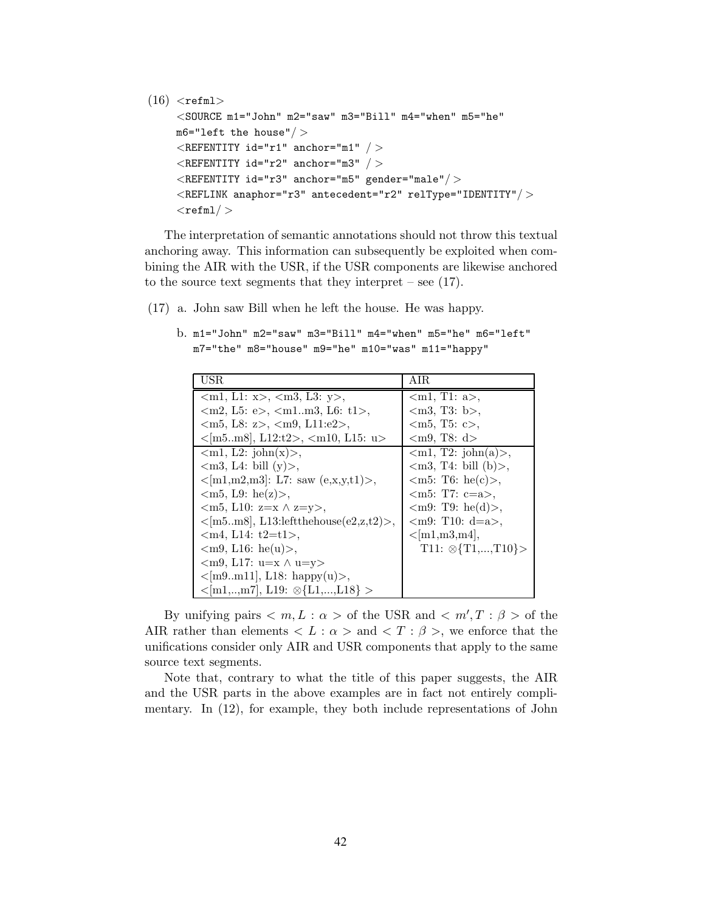```
(16) <refml>
<SOURCE m1="John" m2="saw" m3="Bill" m4="when" m5="he"
m6="left the house"/ >
 \leqREFENTITY id="r1" anchor="m1" / >
 \langleREFENTITY id="r2" anchor="m3" / >
 \langleREFENTITY id="r3" anchor="m5" gender="male"/>\langleREFLINK anaphor="r3" antecedent="r2" relType="IDENTITY"/><refml/ >
```
The interpretation of semantic annotations should not throw this textual anchoring away. This information can subsequently be exploited when combining the AIR with the USR, if the USR components are likewise anchored to the source text segments that they interpret – see (17).

(17) a. John saw Bill when he left the house. He was happy.

b. m1="John" m2="saw" m3="Bill" m4="when" m5="he" m6="left" m7="the" m8="house" m9="he" m10="was" m11="happy"

| USR                                                        | AIR                              |
|------------------------------------------------------------|----------------------------------|
| $\langle$ m1, L1: x>, $\langle$ m3, L3: y>,                | $\langle$ m1, T1: a>,            |
| $\langle m2, L5: e \rangle, \langle m1m3, L6: t1 \rangle,$ | $\langle m3, T3: b \rangle,$     |
| $\langle m5, L8: z \rangle, \langle m9, L11: e2 \rangle,$  | $\langle m5, T5: c \rangle,$     |
| $\langle m5m8], L12:t2>, \langle m10, L15: u \rangle$      | $\langle m9, T8: d \rangle$      |
| $\langle m1, L2: \text{john}(x) \rangle$ ,                 | $\langle$ m1, T2: john(a)>,      |
| $\langle m3, L4: \text{ bill } (y) \rangle$ ,              | $\langle$ m3, T4: bill (b) $>$ , |
| $\langle m1,m2,m3 : L7: saw (e,x,y,t1)\rangle,$            | $\langle m5: T6: he(c) \rangle,$ |
| $\langle m5, L9: \text{he}(z) \rangle$ ,                   | $\rm{m5:}$ T7: c=a>.             |
| $\langle m5, L10: z=x \wedge z=y \rangle$ ,                | $\langle m9: T9: he(d)\rangle$ , |
| $\langle m5m8\rangle$ , L13:leftthehouse(e2,z,t2)>,        | $\langle m9: T10: d=a \rangle,$  |
| $\{\text{cm4}, \text{L14}: \text{t2}=\text{t1}\}$ .        | $<$ [m1,m3,m4],                  |
| $\langle m9, L16: \text{he}(u) \rangle$ ,                  | $T11: \otimes \{T1, , T10\}$     |
| $\langle m9, L17: u=x \wedge u=y \rangle$                  |                                  |
| $\langle m9m11], L18: \text{ happy}(u) \rangle,$           |                                  |
| $\langle m1, , m7 \rangle$ , L19: $\otimes$ {L1,,L18} >    |                                  |

By unifying pairs  $\langle m, L : \alpha \rangle$  of the USR and  $\langle m', T : \beta \rangle$  of the AIR rather than elements  $\langle L : \alpha \rangle$  and  $\langle T : \beta \rangle$ , we enforce that the unifications consider only AIR and USR components that apply to the same source text segments.

Note that, contrary to what the title of this paper suggests, the AIR and the USR parts in the above examples are in fact not entirely complimentary. In (12), for example, they both include representations of John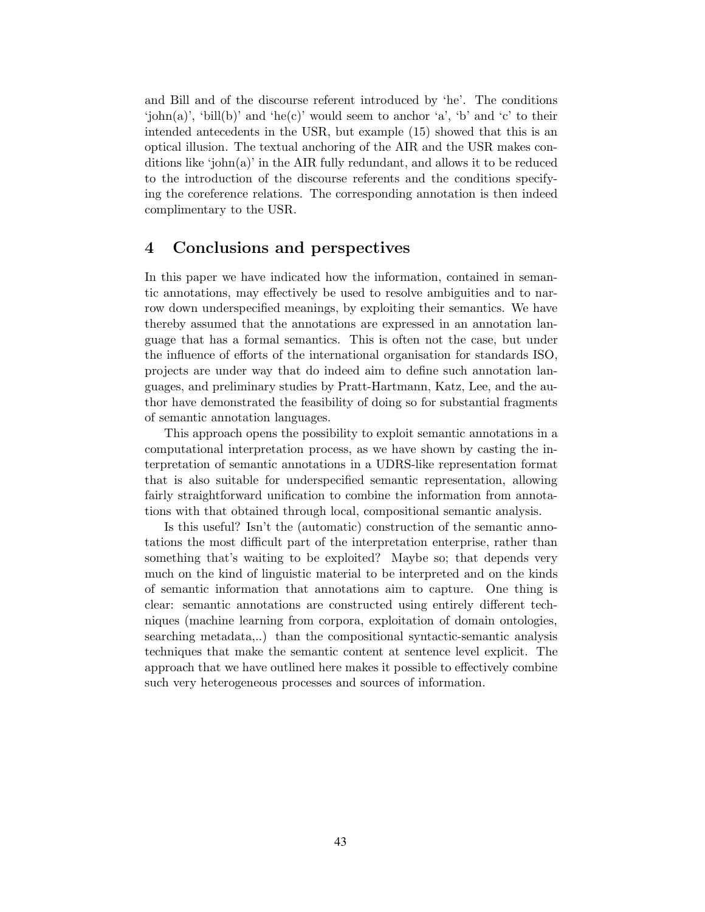and Bill and of the discourse referent introduced by 'he'. The conditions 'john(a)', 'bill(b)' and 'he(c)' would seem to anchor 'a', 'b' and 'c' to their intended antecedents in the USR, but example (15) showed that this is an optical illusion. The textual anchoring of the AIR and the USR makes conditions like 'john(a)' in the AIR fully redundant, and allows it to be reduced to the introduction of the discourse referents and the conditions specifying the coreference relations. The corresponding annotation is then indeed complimentary to the USR.

## 4 Conclusions and perspectives

In this paper we have indicated how the information, contained in semantic annotations, may effectively be used to resolve ambiguities and to narrow down underspecified meanings, by exploiting their semantics. We have thereby assumed that the annotations are expressed in an annotation language that has a formal semantics. This is often not the case, but under the influence of efforts of the international organisation for standards ISO, projects are under way that do indeed aim to define such annotation languages, and preliminary studies by Pratt-Hartmann, Katz, Lee, and the author have demonstrated the feasibility of doing so for substantial fragments of semantic annotation languages.

This approach opens the possibility to exploit semantic annotations in a computational interpretation process, as we have shown by casting the interpretation of semantic annotations in a UDRS-like representation format that is also suitable for underspecified semantic representation, allowing fairly straightforward unification to combine the information from annotations with that obtained through local, compositional semantic analysis.

Is this useful? Isn't the (automatic) construction of the semantic annotations the most difficult part of the interpretation enterprise, rather than something that's waiting to be exploited? Maybe so; that depends very much on the kind of linguistic material to be interpreted and on the kinds of semantic information that annotations aim to capture. One thing is clear: semantic annotations are constructed using entirely different techniques (machine learning from corpora, exploitation of domain ontologies, searching metadata,..) than the compositional syntactic-semantic analysis techniques that make the semantic content at sentence level explicit. The approach that we have outlined here makes it possible to effectively combine such very heterogeneous processes and sources of information.